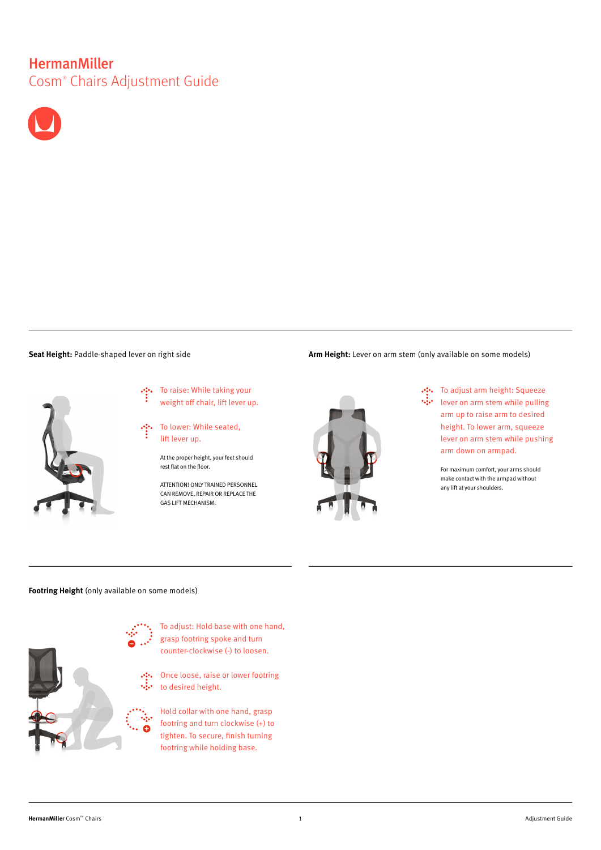# **HermanMiller** Cosm® Chairs Adjustment Guide





To raise: While taking your weight off chair, lift lever up.

To lower: While seated, lift lever up.

At the proper height, your feet should rest flat on the floor.

ATTENTION! ONLY TRAINED PERSONNEL CAN REMOVE, REPAIR OR REPLACE THE GAS LIFT MECHANISM.





To adjust arm height: Squeeze  $\mathcal{O}^{\mathcal{O}}_{\mathcal{C}}$  $\ddotsc$ lever on arm stem while pulling arm up to raise arm to desired height. To lower arm, squeeze lever on arm stem while pushing arm down on armpad.

> For maximum comfort, your arms should make contact with the armpad without any lift at your shoulders.

## **Footring Height** (only available on some models)



To adjust: Hold base with one hand, grasp footring spoke and turn counter-clockwise (-) to loosen.

Once loose, raise or lower footring to desired height.

Hold collar with one hand, grasp footring and turn clockwise (+) to tighten. To secure, fnish turning footring while holding base.